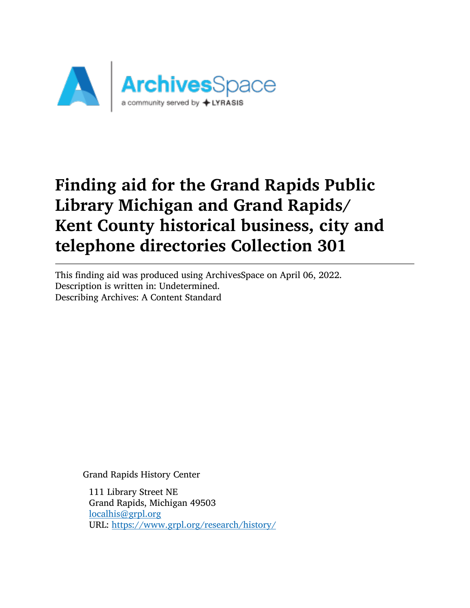

This finding aid was produced using ArchivesSpace on April 06, 2022. Description is written in: Undetermined. Describing Archives: A Content Standard

Grand Rapids History Center

111 Library Street NE Grand Rapids, Michigan 49503 [localhis@grpl.org](mailto:localhis@grpl.org) URL: <https://www.grpl.org/research/history/>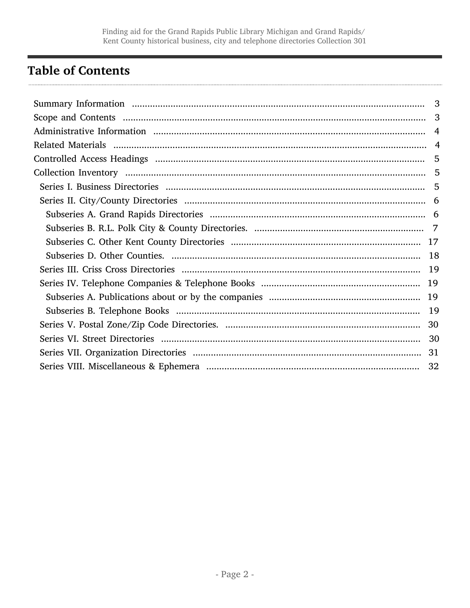# <span id="page-1-0"></span>**Table of Contents**

| 3 |
|---|
| 3 |
|   |
|   |
|   |
|   |
|   |
|   |
|   |
|   |
|   |
|   |
|   |
|   |
|   |
|   |
|   |
|   |
|   |
|   |
|   |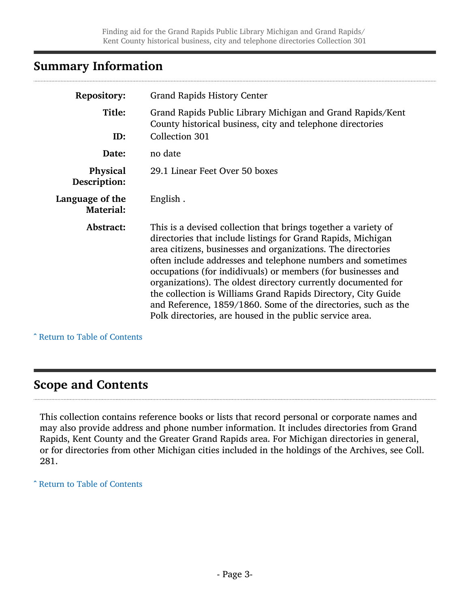# <span id="page-2-0"></span>Summary Information

| <b>Repository:</b>                  | <b>Grand Rapids History Center</b>                                                                                                                                                                                                                                                                                                                                                                                                                                                                                                                                                            |
|-------------------------------------|-----------------------------------------------------------------------------------------------------------------------------------------------------------------------------------------------------------------------------------------------------------------------------------------------------------------------------------------------------------------------------------------------------------------------------------------------------------------------------------------------------------------------------------------------------------------------------------------------|
| Title:                              | Grand Rapids Public Library Michigan and Grand Rapids/Kent<br>County historical business, city and telephone directories                                                                                                                                                                                                                                                                                                                                                                                                                                                                      |
| ID:                                 | Collection 301                                                                                                                                                                                                                                                                                                                                                                                                                                                                                                                                                                                |
| Date:                               | no date                                                                                                                                                                                                                                                                                                                                                                                                                                                                                                                                                                                       |
| Physical<br>Description:            | 29.1 Linear Feet Over 50 boxes                                                                                                                                                                                                                                                                                                                                                                                                                                                                                                                                                                |
| Language of the<br><b>Material:</b> | English.                                                                                                                                                                                                                                                                                                                                                                                                                                                                                                                                                                                      |
| Abstract:                           | This is a devised collection that brings together a variety of<br>directories that include listings for Grand Rapids, Michigan<br>area citizens, businesses and organizations. The directories<br>often include addresses and telephone numbers and sometimes<br>occupations (for indidivuals) or members (for businesses and<br>organizations). The oldest directory currently documented for<br>the collection is Williams Grand Rapids Directory, City Guide<br>and Reference, 1859/1860. Some of the directories, such as the<br>Polk directories, are housed in the public service area. |

^ [Return to Table of Contents](#page-1-0)

## <span id="page-2-1"></span>Scope and Contents

This collection contains reference books or lists that record personal or corporate names and may also provide address and phone number information. It includes directories from Grand Rapids, Kent County and the Greater Grand Rapids area. For Michigan directories in general, or for directories from other Michigan cities included in the holdings of the Archives, see Coll. 281.

^ [Return to Table of Contents](#page-1-0)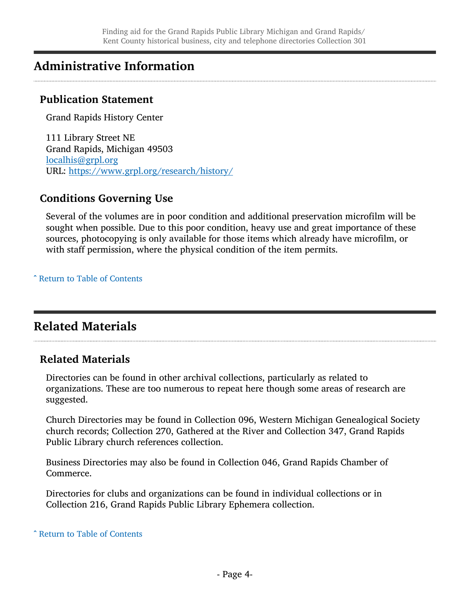# <span id="page-3-0"></span>Administrative Information

## Publication Statement

Grand Rapids History Center

111 Library Street NE Grand Rapids, Michigan 49503 [localhis@grpl.org](mailto:localhis@grpl.org) URL: <https://www.grpl.org/research/history/>

## Conditions Governing Use

Several of the volumes are in poor condition and additional preservation microfilm will be sought when possible. Due to this poor condition, heavy use and great importance of these sources, photocopying is only available for those items which already have microfilm, or with staff permission, where the physical condition of the item permits.

^ [Return to Table of Contents](#page-1-0)

# <span id="page-3-1"></span>Related Materials

## Related Materials

Directories can be found in other archival collections, particularly as related to organizations. These are too numerous to repeat here though some areas of research are suggested.

Church Directories may be found in Collection 096, Western Michigan Genealogical Society church records; Collection 270, Gathered at the River and Collection 347, Grand Rapids Public Library church references collection.

Business Directories may also be found in Collection 046, Grand Rapids Chamber of Commerce.

Directories for clubs and organizations can be found in individual collections or in Collection 216, Grand Rapids Public Library Ephemera collection.

^ [Return to Table of Contents](#page-1-0)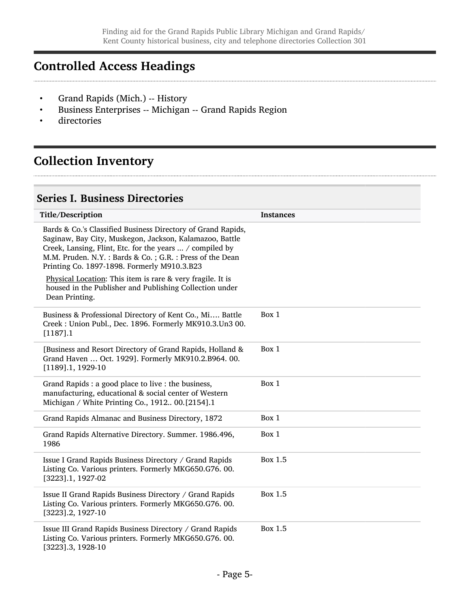# <span id="page-4-0"></span>Controlled Access Headings

- Grand Rapids (Mich.) -- History
- Business Enterprises -- Michigan -- Grand Rapids Region
- directories

# <span id="page-4-1"></span>Collection Inventory

## <span id="page-4-2"></span>Series I. Business Directories

| Title/Description                                                                                                                                                                                                                                                                                | <b>Instances</b> |
|--------------------------------------------------------------------------------------------------------------------------------------------------------------------------------------------------------------------------------------------------------------------------------------------------|------------------|
| Bards & Co.'s Classified Business Directory of Grand Rapids,<br>Saginaw, Bay City, Muskegon, Jackson, Kalamazoo, Battle<br>Creek, Lansing, Flint, Etc. for the years  / compiled by<br>M.M. Pruden. N.Y. : Bards & Co. ; G.R. : Press of the Dean<br>Printing Co. 1897-1898. Formerly M910.3.B23 |                  |
| Physical Location: This item is rare & very fragile. It is<br>housed in the Publisher and Publishing Collection under<br>Dean Printing.                                                                                                                                                          |                  |
| Business & Professional Directory of Kent Co., Mi Battle<br>Creek : Union Publ., Dec. 1896. Formerly MK910.3.Un3 00.<br>[1187].1                                                                                                                                                                 | Box 1            |
| [Business and Resort Directory of Grand Rapids, Holland &<br>Grand Haven  Oct. 1929]. Formerly MK910.2.B964. 00.<br>$[1189]$ .1, 1929-10                                                                                                                                                         | Box 1            |
| Grand Rapids : a good place to live : the business,<br>manufacturing, educational & social center of Western<br>Michigan / White Printing Co., 1912 00.[2154].1                                                                                                                                  | Box 1            |
| Grand Rapids Almanac and Business Directory, 1872                                                                                                                                                                                                                                                | Box 1            |
| Grand Rapids Alternative Directory. Summer. 1986.496,<br>1986                                                                                                                                                                                                                                    | Box 1            |
| Issue I Grand Rapids Business Directory / Grand Rapids<br>Listing Co. Various printers. Formerly MKG650.G76. 00.<br>[3223].1, 1927-02                                                                                                                                                            | Box 1.5          |
| Issue II Grand Rapids Business Directory / Grand Rapids<br>Listing Co. Various printers. Formerly MKG650.G76. 00.<br>[3223].2, 1927-10                                                                                                                                                           | Box 1.5          |
| Issue III Grand Rapids Business Directory / Grand Rapids<br>Listing Co. Various printers. Formerly MKG650.G76.00.<br>[3223].3, 1928-10                                                                                                                                                           | Box 1.5          |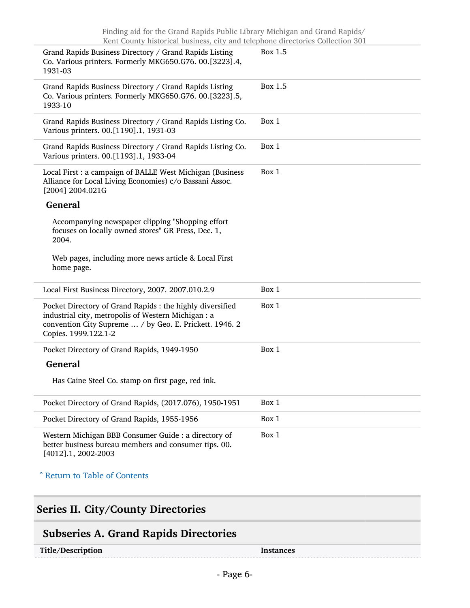| Grand Rapids Business Directory / Grand Rapids Listing<br>Co. Various printers. Formerly MKG650.G76. 00.[3223].4,<br>1931-03                                                                        | Box 1.5 |
|-----------------------------------------------------------------------------------------------------------------------------------------------------------------------------------------------------|---------|
| Grand Rapids Business Directory / Grand Rapids Listing<br>Co. Various printers. Formerly MKG650.G76. 00.[3223].5,<br>1933-10                                                                        | Box 1.5 |
| Grand Rapids Business Directory / Grand Rapids Listing Co.<br>Various printers. 00.[1190].1, 1931-03                                                                                                | Box 1   |
| Grand Rapids Business Directory / Grand Rapids Listing Co.<br>Various printers. 00.[1193].1, 1933-04                                                                                                | Box 1   |
| Local First : a campaign of BALLE West Michigan (Business<br>Alliance for Local Living Economies) c/o Bassani Assoc.<br>[2004] 2004.021G                                                            | Box 1   |
| <b>General</b>                                                                                                                                                                                      |         |
| Accompanying newspaper clipping "Shopping effort<br>focuses on locally owned stores" GR Press, Dec. 1,<br>2004.                                                                                     |         |
| Web pages, including more news article & Local First<br>home page.                                                                                                                                  |         |
| Local First Business Directory, 2007. 2007.010.2.9                                                                                                                                                  | Box 1   |
| Pocket Directory of Grand Rapids : the highly diversified<br>industrial city, metropolis of Western Michigan : a<br>convention City Supreme  / by Geo. E. Prickett. 1946. 2<br>Copies. 1999.122.1-2 | Box 1   |
| Pocket Directory of Grand Rapids, 1949-1950                                                                                                                                                         | Box 1   |
| <b>General</b>                                                                                                                                                                                      |         |
| Has Caine Steel Co. stamp on first page, red ink.                                                                                                                                                   |         |
| Pocket Directory of Grand Rapids, (2017.076), 1950-1951                                                                                                                                             | Box 1   |
| Pocket Directory of Grand Rapids, 1955-1956                                                                                                                                                         | Box 1   |
| Western Michigan BBB Consumer Guide : a directory of<br>better business bureau members and consumer tips. 00.<br>[4012].1, 2002-2003                                                                | Box 1   |
| ^ Return to Table of Contents                                                                                                                                                                       |         |
|                                                                                                                                                                                                     |         |

## <span id="page-5-0"></span>Series II. City/County Directories

# <span id="page-5-1"></span>Subseries A. Grand Rapids Directories

Title/Description Instances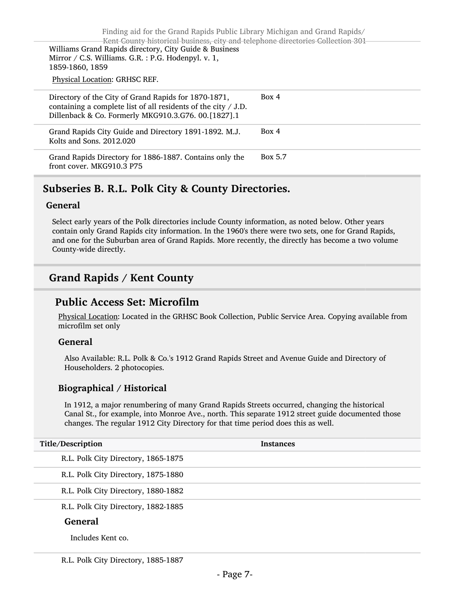Finding aid for the Grand Rapids Public Library Michigan and Grand Rapids/ Kent County historical business, city and telephone directories Collection 301 Williams Grand Rapids directory, City Guide & Business Mirror / C.S. Williams. G.R. : P.G. Hodenpyl. v. 1, 1859-1860, 1859 Physical Location: GRHSC REF.  $\sim$ 

| Directory of the City of Grand Rapids for 1870-1871,<br>containing a complete list of all residents of the city / J.D.<br>Dillenback & Co. Formerly MKG910.3.G76. 00.[1827].1 | Box 4   |
|-------------------------------------------------------------------------------------------------------------------------------------------------------------------------------|---------|
| Grand Rapids City Guide and Directory 1891-1892. M.J.<br>Kolts and Sons. 2012.020                                                                                             | Box 4   |
| Grand Rapids Directory for 1886-1887. Contains only the<br>front cover. MKG910.3 P75                                                                                          | Box 5.7 |
|                                                                                                                                                                               |         |

## <span id="page-6-0"></span>Subseries B. R.L. Polk City & County Directories.

#### General

Select early years of the Polk directories include County information, as noted below. Other years contain only Grand Rapids city information. In the 1960's there were two sets, one for Grand Rapids, and one for the Suburban area of Grand Rapids. More recently, the directly has become a two volume County-wide directly.

## Grand Rapids / Kent County

### Public Access Set: Microfilm

Physical Location: Located in the GRHSC Book Collection, Public Service Area. Copying available from microfilm set only

#### General

Also Available: R.L. Polk & Co.'s 1912 Grand Rapids Street and Avenue Guide and Directory of Householders. 2 photocopies.

### Biographical / Historical

In 1912, a major renumbering of many Grand Rapids Streets occurred, changing the historical Canal St., for example, into Monroe Ave., north. This separate 1912 street guide documented those changes. The regular 1912 City Directory for that time period does this as well.

| Title/Description                   | <b>Instances</b> |
|-------------------------------------|------------------|
| R.L. Polk City Directory, 1865-1875 |                  |
| R.L. Polk City Directory, 1875-1880 |                  |
| R.L. Polk City Directory, 1880-1882 |                  |
| R.L. Polk City Directory, 1882-1885 |                  |
|                                     |                  |

#### General

Includes Kent co.

R.L. Polk City Directory, 1885-1887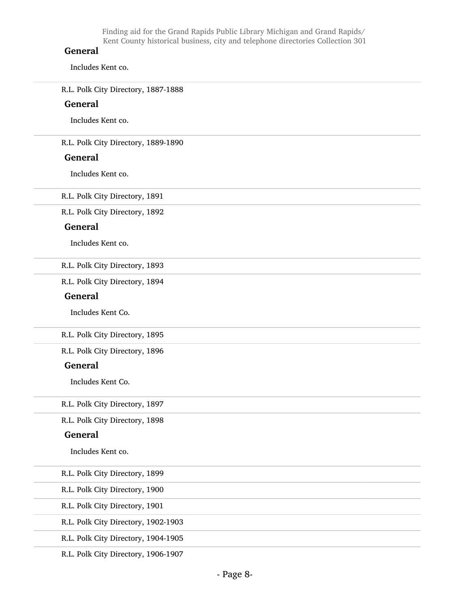#### General

Includes Kent co.

R.L. Polk City Directory, 1887-1888

#### General

Includes Kent co.

R.L. Polk City Directory, 1889-1890

#### General

Includes Kent co.

R.L. Polk City Directory, 1891

R.L. Polk City Directory, 1892

#### General

Includes Kent co.

R.L. Polk City Directory, 1893

R.L. Polk City Directory, 1894

#### General

Includes Kent Co.

R.L. Polk City Directory, 1895

R.L. Polk City Directory, 1896

#### General

Includes Kent Co.

R.L. Polk City Directory, 1897

R.L. Polk City Directory, 1898

#### General

Includes Kent co.

R.L. Polk City Directory, 1899

R.L. Polk City Directory, 1900

R.L. Polk City Directory, 1901

R.L. Polk City Directory, 1902-1903

R.L. Polk City Directory, 1904-1905

R.L. Polk City Directory, 1906-1907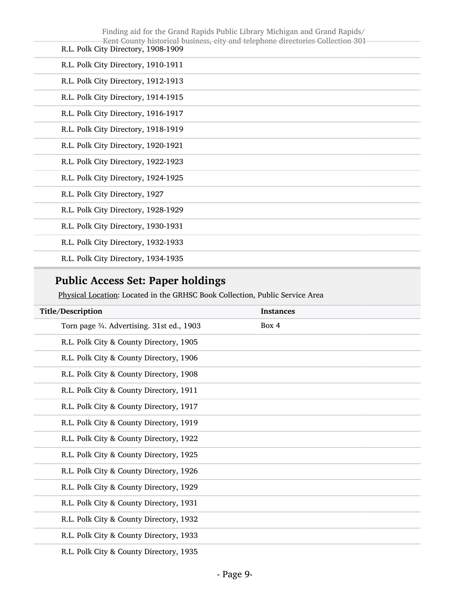| Finding aid for the Grand Rapids Public Library Michigan and Grand Rapids/<br>Kent County historical business, city and telephone directories Collection 301<br>R.L. Polk City Directory, 1908-1909 |  |
|-----------------------------------------------------------------------------------------------------------------------------------------------------------------------------------------------------|--|
| R.L. Polk City Directory, 1910-1911                                                                                                                                                                 |  |
| R.L. Polk City Directory, 1912-1913                                                                                                                                                                 |  |
| R.L. Polk City Directory, 1914-1915                                                                                                                                                                 |  |
| R.L. Polk City Directory, 1916-1917                                                                                                                                                                 |  |
| R.L. Polk City Directory, 1918-1919                                                                                                                                                                 |  |
| R.L. Polk City Directory, 1920-1921                                                                                                                                                                 |  |
| R.L. Polk City Directory, 1922-1923                                                                                                                                                                 |  |
| R.L. Polk City Directory, 1924-1925                                                                                                                                                                 |  |
| R.L. Polk City Directory, 1927                                                                                                                                                                      |  |
| R.L. Polk City Directory, 1928-1929                                                                                                                                                                 |  |
| R.L. Polk City Directory, 1930-1931                                                                                                                                                                 |  |
| R.L. Polk City Directory, 1932-1933                                                                                                                                                                 |  |
| R.L. Polk City Directory, 1934-1935                                                                                                                                                                 |  |

# Public Access Set: Paper holdings

Physical Location: Located in the GRHSC Book Collection, Public Service Area

| Title/Description                          | <b>Instances</b> |
|--------------------------------------------|------------------|
| Torn page 3⁄4. Advertising. 31st ed., 1903 | Box 4            |
| R.L. Polk City & County Directory, 1905    |                  |
| R.L. Polk City & County Directory, 1906    |                  |
| R.L. Polk City & County Directory, 1908    |                  |
| R.L. Polk City & County Directory, 1911    |                  |
| R.L. Polk City & County Directory, 1917    |                  |
| R.L. Polk City & County Directory, 1919    |                  |
| R.L. Polk City & County Directory, 1922    |                  |
| R.L. Polk City & County Directory, 1925    |                  |
| R.L. Polk City & County Directory, 1926    |                  |
| R.L. Polk City & County Directory, 1929    |                  |
| R.L. Polk City & County Directory, 1931    |                  |
| R.L. Polk City & County Directory, 1932    |                  |
| R.L. Polk City & County Directory, 1933    |                  |
| R.L. Polk City & County Directory, 1935    |                  |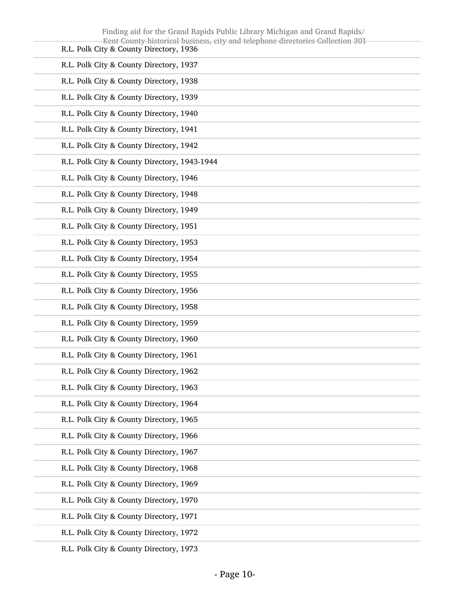| Finding aid for the Grand Rapids Public Library Michigan and Grand Rapids/<br>Kent County historical business, city and telephone directories Collection 301 |
|--------------------------------------------------------------------------------------------------------------------------------------------------------------|
| R.L. Polk City & County Directory, 1936                                                                                                                      |
| R.L. Polk City & County Directory, 1937                                                                                                                      |
| R.L. Polk City & County Directory, 1938                                                                                                                      |
| R.L. Polk City & County Directory, 1939                                                                                                                      |
| R.L. Polk City & County Directory, 1940                                                                                                                      |
| R.L. Polk City & County Directory, 1941                                                                                                                      |
| R.L. Polk City & County Directory, 1942                                                                                                                      |
| R.L. Polk City & County Directory, 1943-1944                                                                                                                 |
| R.L. Polk City & County Directory, 1946                                                                                                                      |
| R.L. Polk City & County Directory, 1948                                                                                                                      |
| R.L. Polk City & County Directory, 1949                                                                                                                      |
| R.L. Polk City & County Directory, 1951                                                                                                                      |
| R.L. Polk City & County Directory, 1953                                                                                                                      |
| R.L. Polk City & County Directory, 1954                                                                                                                      |
| R.L. Polk City & County Directory, 1955                                                                                                                      |
| R.L. Polk City & County Directory, 1956                                                                                                                      |
| R.L. Polk City & County Directory, 1958                                                                                                                      |
| R.L. Polk City & County Directory, 1959                                                                                                                      |
| R.L. Polk City & County Directory, 1960                                                                                                                      |
| R.L. Polk City & County Directory, 1961                                                                                                                      |
| R.L. Polk City & County Directory, 1962                                                                                                                      |
| R.L. Polk City & County Directory, 1963                                                                                                                      |
| R.L. Polk City & County Directory, 1964                                                                                                                      |
| R.L. Polk City & County Directory, 1965                                                                                                                      |
| R.L. Polk City & County Directory, 1966                                                                                                                      |
| R.L. Polk City & County Directory, 1967                                                                                                                      |
| R.L. Polk City & County Directory, 1968                                                                                                                      |
| R.L. Polk City & County Directory, 1969                                                                                                                      |
| R.L. Polk City & County Directory, 1970                                                                                                                      |
| R.L. Polk City & County Directory, 1971                                                                                                                      |
| R.L. Polk City & County Directory, 1972                                                                                                                      |
|                                                                                                                                                              |

R.L. Polk City & County Directory, 1973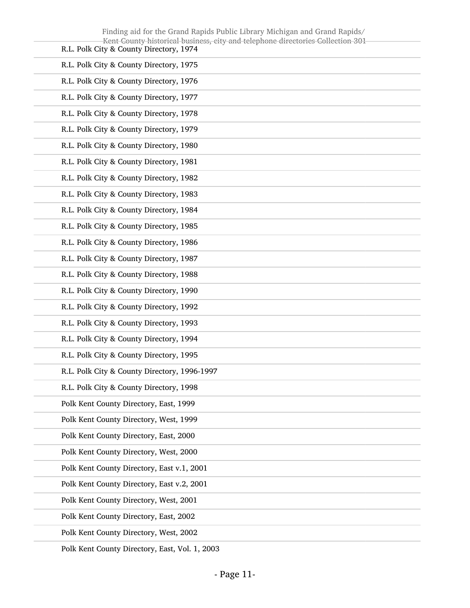| Finding aid for the Grand Rapids Public Library Michigan and Grand Rapids/<br>Kent County historical business, city and telephone directories Collection 301 |
|--------------------------------------------------------------------------------------------------------------------------------------------------------------|
| R.L. Polk City & County Directory, 1974                                                                                                                      |
| R.L. Polk City & County Directory, 1975                                                                                                                      |
| R.L. Polk City & County Directory, 1976                                                                                                                      |
| R.L. Polk City & County Directory, 1977                                                                                                                      |
| R.L. Polk City & County Directory, 1978                                                                                                                      |
| R.L. Polk City & County Directory, 1979                                                                                                                      |
| R.L. Polk City & County Directory, 1980                                                                                                                      |
| R.L. Polk City & County Directory, 1981                                                                                                                      |
| R.L. Polk City & County Directory, 1982                                                                                                                      |
| R.L. Polk City & County Directory, 1983                                                                                                                      |
| R.L. Polk City & County Directory, 1984                                                                                                                      |
| R.L. Polk City & County Directory, 1985                                                                                                                      |
| R.L. Polk City & County Directory, 1986                                                                                                                      |
| R.L. Polk City & County Directory, 1987                                                                                                                      |
| R.L. Polk City & County Directory, 1988                                                                                                                      |
| R.L. Polk City & County Directory, 1990                                                                                                                      |
| R.L. Polk City & County Directory, 1992                                                                                                                      |
| R.L. Polk City & County Directory, 1993                                                                                                                      |
| R.L. Polk City & County Directory, 1994                                                                                                                      |
| R.L. Polk City & County Directory, 1995                                                                                                                      |
| R.L. Polk City & County Directory, 1996-1997                                                                                                                 |
| R.L. Polk City & County Directory, 1998                                                                                                                      |
| Polk Kent County Directory, East, 1999                                                                                                                       |
| Polk Kent County Directory, West, 1999                                                                                                                       |
| Polk Kent County Directory, East, 2000                                                                                                                       |
| Polk Kent County Directory, West, 2000                                                                                                                       |
| Polk Kent County Directory, East v.1, 2001                                                                                                                   |
| Polk Kent County Directory, East v.2, 2001                                                                                                                   |
| Polk Kent County Directory, West, 2001                                                                                                                       |
| Polk Kent County Directory, East, 2002                                                                                                                       |
| Polk Kent County Directory, West, 2002                                                                                                                       |
|                                                                                                                                                              |

Polk Kent County Directory, East, Vol. 1, 2003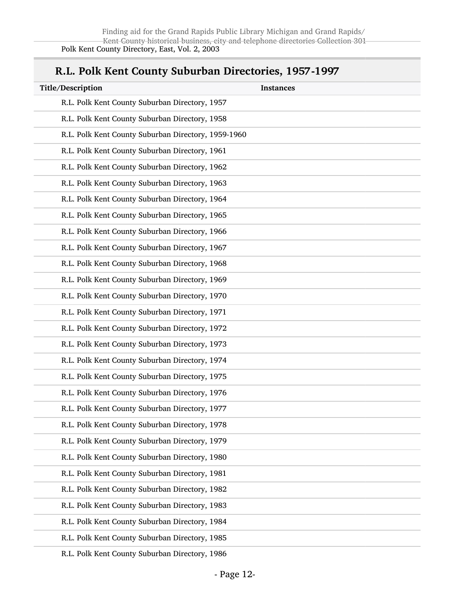## R.L. Polk Kent County Suburban Directories, 1957-1997

| Title/Description                                   | <b>Instances</b> |
|-----------------------------------------------------|------------------|
| R.L. Polk Kent County Suburban Directory, 1957      |                  |
| R.L. Polk Kent County Suburban Directory, 1958      |                  |
| R.L. Polk Kent County Suburban Directory, 1959-1960 |                  |
| R.L. Polk Kent County Suburban Directory, 1961      |                  |
| R.L. Polk Kent County Suburban Directory, 1962      |                  |
| R.L. Polk Kent County Suburban Directory, 1963      |                  |
| R.L. Polk Kent County Suburban Directory, 1964      |                  |
| R.L. Polk Kent County Suburban Directory, 1965      |                  |
| R.L. Polk Kent County Suburban Directory, 1966      |                  |
| R.L. Polk Kent County Suburban Directory, 1967      |                  |
| R.L. Polk Kent County Suburban Directory, 1968      |                  |
| R.L. Polk Kent County Suburban Directory, 1969      |                  |
| R.L. Polk Kent County Suburban Directory, 1970      |                  |
| R.L. Polk Kent County Suburban Directory, 1971      |                  |
| R.L. Polk Kent County Suburban Directory, 1972      |                  |
| R.L. Polk Kent County Suburban Directory, 1973      |                  |
| R.L. Polk Kent County Suburban Directory, 1974      |                  |
| R.L. Polk Kent County Suburban Directory, 1975      |                  |
| R.L. Polk Kent County Suburban Directory, 1976      |                  |
| R.L. Polk Kent County Suburban Directory, 1977      |                  |
| R.L. Polk Kent County Suburban Directory, 1978      |                  |
| R.L. Polk Kent County Suburban Directory, 1979      |                  |
| R.L. Polk Kent County Suburban Directory, 1980      |                  |
| R.L. Polk Kent County Suburban Directory, 1981      |                  |
| R.L. Polk Kent County Suburban Directory, 1982      |                  |
| R.L. Polk Kent County Suburban Directory, 1983      |                  |
| R.L. Polk Kent County Suburban Directory, 1984      |                  |
| R.L. Polk Kent County Suburban Directory, 1985      |                  |
| D.I. Dolly Kent County Suburban Directory, 1006     |                  |

R.L. Polk Kent County Suburban Directory, 1986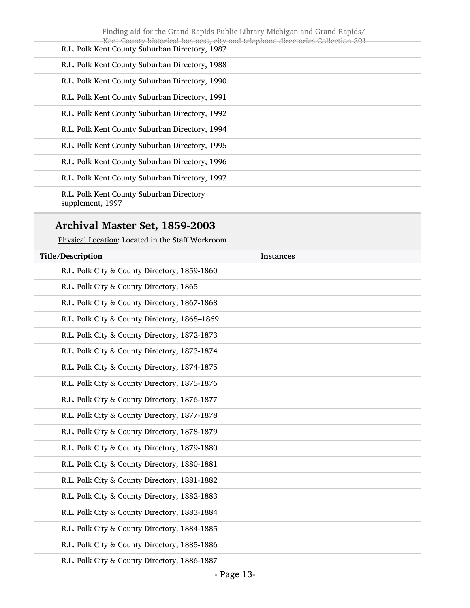| Finding aid for the Grand Rapids Public Library Michigan and Grand Rapids/<br>Kent County historical business, city and telephone directories Collection 301 |  |
|--------------------------------------------------------------------------------------------------------------------------------------------------------------|--|
| R.L. Polk Kent County Suburban Directory, 1987                                                                                                               |  |
| R.L. Polk Kent County Suburban Directory, 1988                                                                                                               |  |
| R.L. Polk Kent County Suburban Directory, 1990                                                                                                               |  |
| R.L. Polk Kent County Suburban Directory, 1991                                                                                                               |  |
| R.L. Polk Kent County Suburban Directory, 1992                                                                                                               |  |
| R.L. Polk Kent County Suburban Directory, 1994                                                                                                               |  |
| R.L. Polk Kent County Suburban Directory, 1995                                                                                                               |  |
| R.L. Polk Kent County Suburban Directory, 1996                                                                                                               |  |
| R.L. Polk Kent County Suburban Directory, 1997                                                                                                               |  |
| R.L. Polk Kent County Suburban Directory                                                                                                                     |  |

supplement, 1997

## Archival Master Set, 1859-2003

Physical Location: Located in the Staff Workroom

| Title/Description                            | <b>Instances</b> |
|----------------------------------------------|------------------|
| R.L. Polk City & County Directory, 1859-1860 |                  |
| R.L. Polk City & County Directory, 1865      |                  |
| R.L. Polk City & County Directory, 1867-1868 |                  |
| R.L. Polk City & County Directory, 1868-1869 |                  |
| R.L. Polk City & County Directory, 1872-1873 |                  |
| R.L. Polk City & County Directory, 1873-1874 |                  |
| R.L. Polk City & County Directory, 1874-1875 |                  |
| R.L. Polk City & County Directory, 1875-1876 |                  |
| R.L. Polk City & County Directory, 1876-1877 |                  |
| R.L. Polk City & County Directory, 1877-1878 |                  |
| R.L. Polk City & County Directory, 1878-1879 |                  |
| R.L. Polk City & County Directory, 1879-1880 |                  |
| R.L. Polk City & County Directory, 1880-1881 |                  |
| R.L. Polk City & County Directory, 1881-1882 |                  |
| R.L. Polk City & County Directory, 1882-1883 |                  |
| R.L. Polk City & County Directory, 1883-1884 |                  |
| R.L. Polk City & County Directory, 1884-1885 |                  |
| R.L. Polk City & County Directory, 1885-1886 |                  |
| R.L. Polk City & County Directory, 1886-1887 |                  |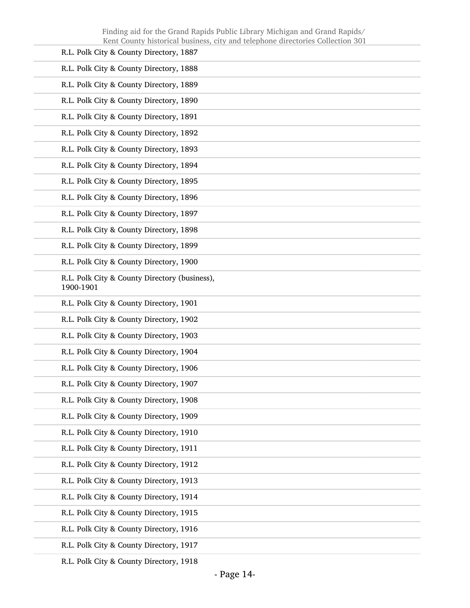| R.L. Polk City & County Directory, 1887                    |
|------------------------------------------------------------|
| R.L. Polk City & County Directory, 1888                    |
| R.L. Polk City & County Directory, 1889                    |
| R.L. Polk City & County Directory, 1890                    |
| R.L. Polk City & County Directory, 1891                    |
| R.L. Polk City & County Directory, 1892                    |
| R.L. Polk City & County Directory, 1893                    |
| R.L. Polk City & County Directory, 1894                    |
| R.L. Polk City & County Directory, 1895                    |
| R.L. Polk City & County Directory, 1896                    |
| R.L. Polk City & County Directory, 1897                    |
| R.L. Polk City & County Directory, 1898                    |
| R.L. Polk City & County Directory, 1899                    |
| R.L. Polk City & County Directory, 1900                    |
| R.L. Polk City & County Directory (business),<br>1900-1901 |
| R.L. Polk City & County Directory, 1901                    |
| R.L. Polk City & County Directory, 1902                    |
| R.L. Polk City & County Directory, 1903                    |
| R.L. Polk City & County Directory, 1904                    |
| R.L. Polk City & County Directory, 1906                    |
| R.L. Polk City & County Directory, 1907                    |
| R.L. Polk City & County Directory, 1908                    |
| R.L. Polk City & County Directory, 1909                    |
| R.L. Polk City & County Directory, 1910                    |
| R.L. Polk City & County Directory, 1911                    |
| R.L. Polk City & County Directory, 1912                    |
| R.L. Polk City & County Directory, 1913                    |
| R.L. Polk City & County Directory, 1914                    |
| R.L. Polk City & County Directory, 1915                    |
| R.L. Polk City & County Directory, 1916                    |
| R.L. Polk City & County Directory, 1917                    |
|                                                            |

R.L. Polk City & County Directory, 1918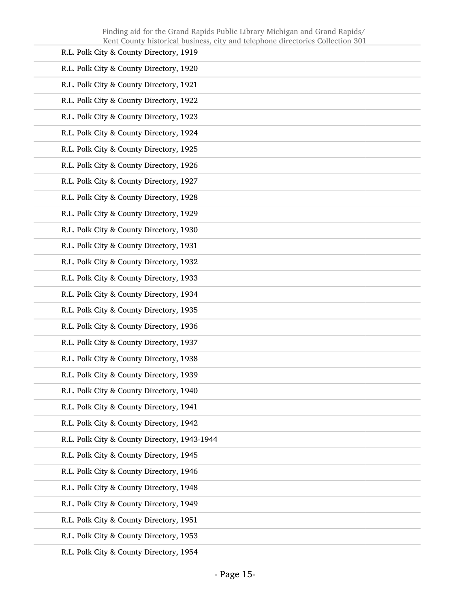| R.L. Polk City & County Directory, 1919      |
|----------------------------------------------|
| R.L. Polk City & County Directory, 1920      |
| R.L. Polk City & County Directory, 1921      |
| R.L. Polk City & County Directory, 1922      |
| R.L. Polk City & County Directory, 1923      |
| R.L. Polk City & County Directory, 1924      |
| R.L. Polk City & County Directory, 1925      |
| R.L. Polk City & County Directory, 1926      |
| R.L. Polk City & County Directory, 1927      |
| R.L. Polk City & County Directory, 1928      |
| R.L. Polk City & County Directory, 1929      |
| R.L. Polk City & County Directory, 1930      |
| R.L. Polk City & County Directory, 1931      |
| R.L. Polk City & County Directory, 1932      |
| R.L. Polk City & County Directory, 1933      |
| R.L. Polk City & County Directory, 1934      |
| R.L. Polk City & County Directory, 1935      |
| R.L. Polk City & County Directory, 1936      |
| R.L. Polk City & County Directory, 1937      |
| R.L. Polk City & County Directory, 1938      |
| R.L. Polk City & County Directory, 1939      |
| R.L. Polk City & County Directory, 1940      |
| R.L. Polk City & County Directory, 1941      |
| R.L. Polk City & County Directory, 1942      |
| R.L. Polk City & County Directory, 1943-1944 |
| R.L. Polk City & County Directory, 1945      |
| R.L. Polk City & County Directory, 1946      |
| R.L. Polk City & County Directory, 1948      |
| R.L. Polk City & County Directory, 1949      |
| R.L. Polk City & County Directory, 1951      |
| R.L. Polk City & County Directory, 1953      |
|                                              |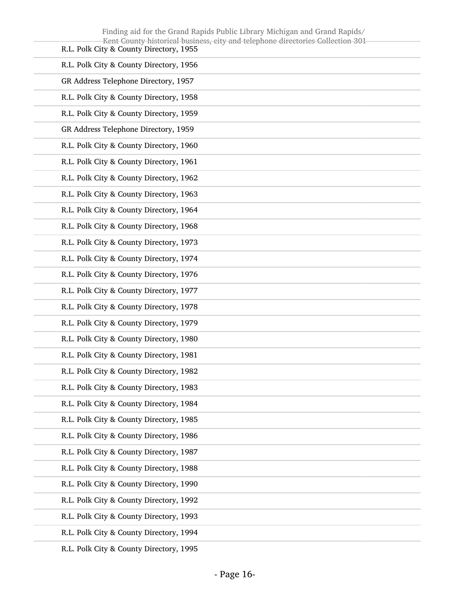| Finding aid for the Grand Rapids Public Library Michigan and Grand Rapids/<br>Kent County historical business, city and telephone directories Collection 301 |
|--------------------------------------------------------------------------------------------------------------------------------------------------------------|
| R.L. Polk City & County Directory, 1955                                                                                                                      |
| R.L. Polk City & County Directory, 1956                                                                                                                      |
| GR Address Telephone Directory, 1957                                                                                                                         |
| R.L. Polk City & County Directory, 1958                                                                                                                      |
| R.L. Polk City & County Directory, 1959                                                                                                                      |
| GR Address Telephone Directory, 1959                                                                                                                         |
| R.L. Polk City & County Directory, 1960                                                                                                                      |
| R.L. Polk City & County Directory, 1961                                                                                                                      |
| R.L. Polk City & County Directory, 1962                                                                                                                      |
| R.L. Polk City & County Directory, 1963                                                                                                                      |
| R.L. Polk City & County Directory, 1964                                                                                                                      |
| R.L. Polk City & County Directory, 1968                                                                                                                      |
| R.L. Polk City & County Directory, 1973                                                                                                                      |
| R.L. Polk City & County Directory, 1974                                                                                                                      |
| R.L. Polk City & County Directory, 1976                                                                                                                      |
| R.L. Polk City & County Directory, 1977                                                                                                                      |
| R.L. Polk City & County Directory, 1978                                                                                                                      |
| R.L. Polk City & County Directory, 1979                                                                                                                      |
| R.L. Polk City & County Directory, 1980                                                                                                                      |
| R.L. Polk City & County Directory, 1981                                                                                                                      |
| R.L. Polk City & County Directory, 1982                                                                                                                      |
| R.L. Polk City & County Directory, 1983                                                                                                                      |
| R.L. Polk City & County Directory, 1984                                                                                                                      |
| R.L. Polk City & County Directory, 1985                                                                                                                      |
| R.L. Polk City & County Directory, 1986                                                                                                                      |
| R.L. Polk City & County Directory, 1987                                                                                                                      |
| R.L. Polk City & County Directory, 1988                                                                                                                      |
| R.L. Polk City & County Directory, 1990                                                                                                                      |
| R.L. Polk City & County Directory, 1992                                                                                                                      |
| R.L. Polk City & County Directory, 1993                                                                                                                      |
| R.L. Polk City & County Directory, 1994                                                                                                                      |
|                                                                                                                                                              |

R.L. Polk City & County Directory, 1995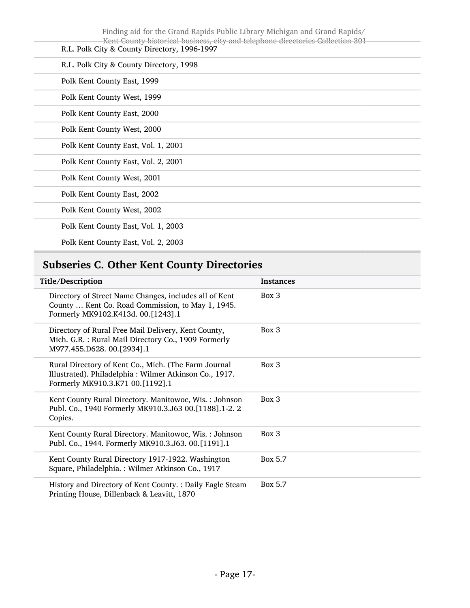| Finding aid for the Grand Rapids Public Library Michigan and Grand Rapids/<br>Kent County historical business, city and telephone directories Collection 301<br>R.L. Polk City & County Directory, 1996-1997 |
|--------------------------------------------------------------------------------------------------------------------------------------------------------------------------------------------------------------|
| R.L. Polk City & County Directory, 1998                                                                                                                                                                      |
| Polk Kent County East, 1999                                                                                                                                                                                  |
| Polk Kent County West, 1999                                                                                                                                                                                  |
| Polk Kent County East, 2000                                                                                                                                                                                  |
| Polk Kent County West, 2000                                                                                                                                                                                  |
| Polk Kent County East, Vol. 1, 2001                                                                                                                                                                          |
| Polk Kent County East, Vol. 2, 2001                                                                                                                                                                          |
| Polk Kent County West, 2001                                                                                                                                                                                  |
| Polk Kent County East, 2002                                                                                                                                                                                  |
| Polk Kent County West, 2002                                                                                                                                                                                  |
| Polk Kent County East, Vol. 1, 2003                                                                                                                                                                          |
| Polk Kent County East, Vol. 2, 2003                                                                                                                                                                          |

# <span id="page-16-0"></span>Subseries C. Other Kent County Directories

| Title/Description                                                                                                                                  | <b>Instances</b> |
|----------------------------------------------------------------------------------------------------------------------------------------------------|------------------|
| Directory of Street Name Changes, includes all of Kent<br>County  Kent Co. Road Commission, to May 1, 1945.<br>Formerly MK9102.K413d. 00.[1243].1  | Box 3            |
| Directory of Rural Free Mail Delivery, Kent County,<br>Mich. G.R.: Rural Mail Directory Co., 1909 Formerly<br>M977.455.D628. 00.[2934].1           | Box 3            |
| Rural Directory of Kent Co., Mich. (The Farm Journal<br>Illustrated). Philadelphia: Wilmer Atkinson Co., 1917.<br>Formerly MK910.3.K71 00.[1192].1 | Box 3            |
| Kent County Rural Directory. Manitowoc, Wis.: Johnson<br>Publ. Co., 1940 Formerly MK910.3.J63 00.[1188].1-2. 2<br>Copies.                          | Box 3            |
| Kent County Rural Directory. Manitowoc, Wis.: Johnson<br>Publ. Co., 1944. Formerly MK910.3.J63. 00.[1191].1                                        | Box 3            |
| Kent County Rural Directory 1917-1922. Washington<br>Square, Philadelphia.: Wilmer Atkinson Co., 1917                                              | Box 5.7          |
| History and Directory of Kent County. : Daily Eagle Steam<br>Printing House, Dillenback & Leavitt, 1870                                            | Box 5.7          |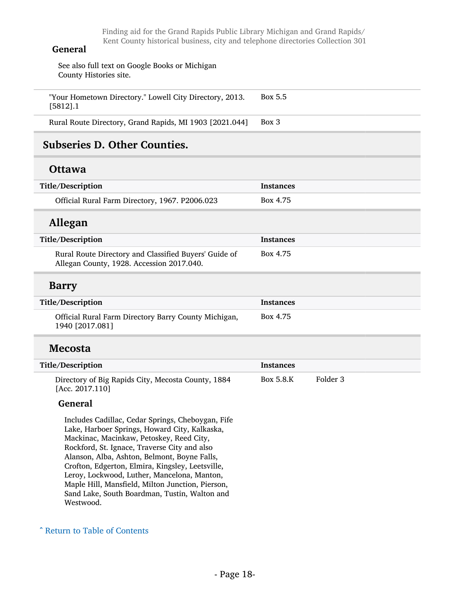#### General

See also full text on Google Books or Michigan County Histories site.

"Your Hometown Directory." Lowell City Directory, 2013. [5812].1 Box 5.5

Rural Route Directory, Grand Rapids, MI 1903 [2021.044] Box 3

## <span id="page-17-0"></span>Subseries D. Other Counties.

### **Ottawa**

| Title/Description                              | <b>Instances</b> |
|------------------------------------------------|------------------|
| Official Rural Farm Directory, 1967. P2006.023 | Box 4.75         |

## Allegan

| Title/Description                                                                                  | <b>Instances</b> |
|----------------------------------------------------------------------------------------------------|------------------|
| Rural Route Directory and Classified Buyers' Guide of<br>Allegan County, 1928. Accession 2017.040. | Box 4.75         |

#### Barry

| Title/Description                                                       | Instances |
|-------------------------------------------------------------------------|-----------|
| Official Rural Farm Directory Barry County Michigan,<br>1940 [2017.081] | Box 4.75  |

### Mecosta

| Title/Description                                                     | Instances |          |
|-----------------------------------------------------------------------|-----------|----------|
| Directory of Big Rapids City, Mecosta County, 1884<br>[Acc. 2017.110] | Box 5.8.K | Folder 3 |

#### General

Includes Cadillac, Cedar Springs, Cheboygan, Fife Lake, Harboer Springs, Howard City, Kalkaska, Mackinac, Macinkaw, Petoskey, Reed City, Rockford, St. Ignace, Traverse City and also Alanson, Alba, Ashton, Belmont, Boyne Falls, Crofton, Edgerton, Elmira, Kingsley, Leetsville, Leroy, Lockwood, Luther, Mancelona, Manton, Maple Hill, Mansfield, Milton Junction, Pierson, Sand Lake, South Boardman, Tustin, Walton and Westwood.

#### ^ [Return to Table of Contents](#page-1-0)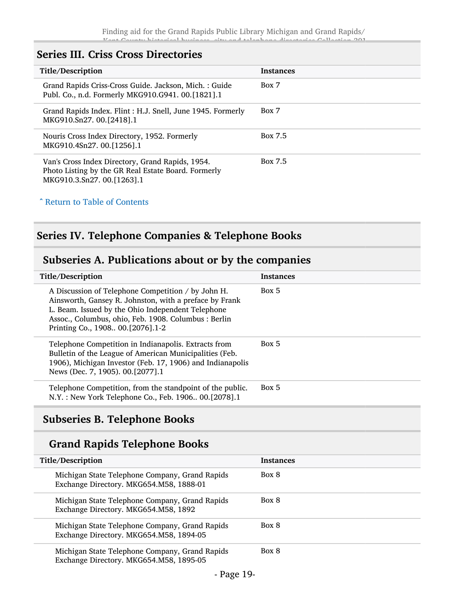## <span id="page-18-0"></span>Series III. Criss Cross Directories

| Title/Description                                                                                                                     | <b>Instances</b> |
|---------------------------------------------------------------------------------------------------------------------------------------|------------------|
| Grand Rapids Criss-Cross Guide. Jackson, Mich.: Guide<br>Publ. Co., n.d. Formerly MKG910.G941. 00.[1821].1                            | Box 7            |
| Grand Rapids Index. Flint: H.J. Snell, June 1945. Formerly<br>MKG910.Sn27. 00.[2418].1                                                | Box 7            |
| Nouris Cross Index Directory, 1952. Formerly<br>MKG910.4Sn27, 00.112561.1                                                             | Box 7.5          |
| Van's Cross Index Directory, Grand Rapids, 1954.<br>Photo Listing by the GR Real Estate Board. Formerly<br>MKG910.3.Sn27. 00.[1263].1 | Box 7.5          |

#### ^ [Return to Table of Contents](#page-1-0)

## <span id="page-18-1"></span>Series IV. Telephone Companies & Telephone Books

# <span id="page-18-2"></span>Subseries A. Publications about or by the companies

| Title/Description                                                                                                                                                                                                                                             | <b>Instances</b> |
|---------------------------------------------------------------------------------------------------------------------------------------------------------------------------------------------------------------------------------------------------------------|------------------|
| A Discussion of Telephone Competition / by John H.<br>Ainsworth, Gansey R. Johnston, with a preface by Frank<br>L. Beam. Issued by the Ohio Independent Telephone<br>Assoc., Columbus, ohio, Feb. 1908. Columbus : Berlin<br>Printing Co., 1908 00.[2076].1-2 | Box 5            |
| Telephone Competition in Indianapolis. Extracts from<br>Bulletin of the League of American Municipalities (Feb.<br>1906), Michigan Investor (Feb. 17, 1906) and Indianapolis<br>News (Dec. 7, 1905), 00. [2077]. 1                                            | Box 5            |
| Telephone Competition, from the standpoint of the public.<br>N.Y.: New York Telephone Co., Feb. 1906 00.[2078].1                                                                                                                                              | Box 5            |
|                                                                                                                                                                                                                                                               |                  |

# <span id="page-18-3"></span>Subseries B. Telephone Books

## Grand Rapids Telephone Books

| Title/Description                                                                         | <b>Instances</b> |
|-------------------------------------------------------------------------------------------|------------------|
| Michigan State Telephone Company, Grand Rapids<br>Exchange Directory. MKG654.M58, 1888-01 | Box 8            |
| Michigan State Telephone Company, Grand Rapids<br>Exchange Directory. MKG654.M58, 1892    | Box 8            |
| Michigan State Telephone Company, Grand Rapids<br>Exchange Directory. MKG654.M58, 1894-05 | Box 8            |
| Michigan State Telephone Company, Grand Rapids<br>Exchange Directory. MKG654.M58, 1895-05 | Box 8            |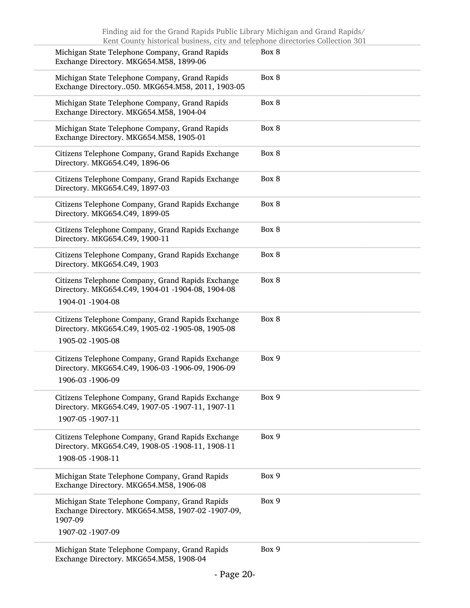| Michigan State Telephone Company, Grand Rapids<br>Exchange Directory. MKG654.M58, 1899-06                                 | Box 8 |
|---------------------------------------------------------------------------------------------------------------------------|-------|
| Michigan State Telephone Company, Grand Rapids<br>Exchange Directory050. MKG654.M58, 2011, 1903-05                        | Box 8 |
| Michigan State Telephone Company, Grand Rapids<br>Exchange Directory. MKG654.M58, 1904-04                                 | Box 8 |
| Michigan State Telephone Company, Grand Rapids<br>Exchange Directory. MKG654.M58, 1905-01                                 | Box 8 |
| Citizens Telephone Company, Grand Rapids Exchange<br>Directory. MKG654.C49, 1896-06                                       | Box 8 |
| Citizens Telephone Company, Grand Rapids Exchange<br>Directory. MKG654.C49, 1897-03                                       | Box 8 |
| Citizens Telephone Company, Grand Rapids Exchange<br>Directory. MKG654.C49, 1899-05                                       | Box 8 |
| Citizens Telephone Company, Grand Rapids Exchange<br>Directory. MKG654.C49, 1900-11                                       | Box 8 |
| Citizens Telephone Company, Grand Rapids Exchange<br>Directory. MKG654.C49, 1903                                          | Box 8 |
| Citizens Telephone Company, Grand Rapids Exchange<br>Directory. MKG654.C49, 1904-01 -1904-08, 1904-08<br>1904-01 -1904-08 | Box 8 |
| Citizens Telephone Company, Grand Rapids Exchange<br>Directory. MKG654.C49, 1905-02 -1905-08, 1905-08<br>1905-02 -1905-08 | Box 8 |
| Citizens Telephone Company, Grand Rapids Exchange<br>Directory. MKG654.C49, 1906-03 -1906-09, 1906-09<br>1906-03 -1906-09 | Box 9 |
| Citizens Telephone Company, Grand Rapids Exchange<br>Directory. MKG654.C49, 1907-05 -1907-11, 1907-11<br>1907-05 -1907-11 | Box 9 |
| Citizens Telephone Company, Grand Rapids Exchange<br>Directory. MKG654.C49, 1908-05 -1908-11, 1908-11<br>1908-05 -1908-11 | Box 9 |
| Michigan State Telephone Company, Grand Rapids<br>Exchange Directory. MKG654.M58, 1906-08                                 | Box 9 |
| Michigan State Telephone Company, Grand Rapids<br>Exchange Directory. MKG654.M58, 1907-02 -1907-09,<br>1907-09            | Box 9 |
| 1907-02 -1907-09                                                                                                          |       |
| Michigan State Telephone Company, Grand Rapids<br>Exchange Directory. MKG654.M58, 1908-04                                 | Box 9 |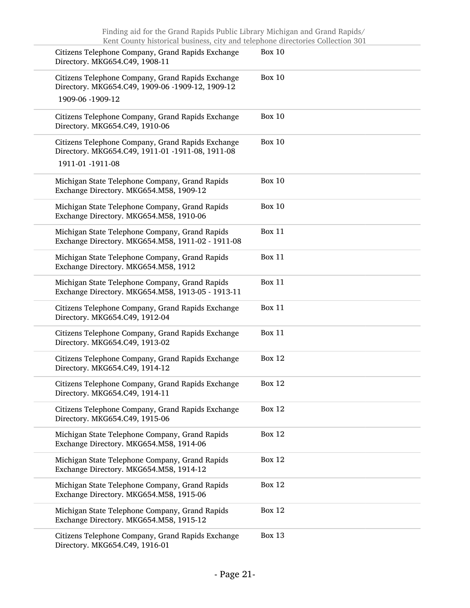| Citizens Telephone Company, Grand Rapids Exchange<br>Directory. MKG654.C49, 1908-11                                       | <b>Box 10</b> |
|---------------------------------------------------------------------------------------------------------------------------|---------------|
| Citizens Telephone Company, Grand Rapids Exchange<br>Directory. MKG654.C49, 1909-06 -1909-12, 1909-12<br>1909-06 -1909-12 | <b>Box 10</b> |
| Citizens Telephone Company, Grand Rapids Exchange<br>Directory. MKG654.C49, 1910-06                                       | <b>Box 10</b> |
| Citizens Telephone Company, Grand Rapids Exchange<br>Directory. MKG654.C49, 1911-01 -1911-08, 1911-08<br>1911-01 -1911-08 | <b>Box 10</b> |
| Michigan State Telephone Company, Grand Rapids<br>Exchange Directory. MKG654.M58, 1909-12                                 | <b>Box 10</b> |
| Michigan State Telephone Company, Grand Rapids<br>Exchange Directory. MKG654.M58, 1910-06                                 | <b>Box 10</b> |
| Michigan State Telephone Company, Grand Rapids<br>Exchange Directory. MKG654.M58, 1911-02 - 1911-08                       | <b>Box 11</b> |
| Michigan State Telephone Company, Grand Rapids<br>Exchange Directory. MKG654.M58, 1912                                    | <b>Box 11</b> |
| Michigan State Telephone Company, Grand Rapids<br>Exchange Directory. MKG654.M58, 1913-05 - 1913-11                       | <b>Box 11</b> |
| Citizens Telephone Company, Grand Rapids Exchange<br>Directory. MKG654.C49, 1912-04                                       | <b>Box 11</b> |
| Citizens Telephone Company, Grand Rapids Exchange<br>Directory. MKG654.C49, 1913-02                                       | <b>Box 11</b> |
| Citizens Telephone Company, Grand Rapids Exchange<br>Directory. MKG654.C49, 1914-12                                       | <b>Box 12</b> |
| Citizens Telephone Company, Grand Rapids Exchange<br>Directory. MKG654.C49, 1914-11                                       | <b>Box 12</b> |
| Citizens Telephone Company, Grand Rapids Exchange<br>Directory. MKG654.C49, 1915-06                                       | <b>Box 12</b> |
| Michigan State Telephone Company, Grand Rapids<br>Exchange Directory. MKG654.M58, 1914-06                                 | <b>Box 12</b> |
| Michigan State Telephone Company, Grand Rapids<br>Exchange Directory. MKG654.M58, 1914-12                                 | <b>Box 12</b> |
| Michigan State Telephone Company, Grand Rapids<br>Exchange Directory. MKG654.M58, 1915-06                                 | <b>Box 12</b> |
| Michigan State Telephone Company, Grand Rapids<br>Exchange Directory. MKG654.M58, 1915-12                                 | <b>Box 12</b> |
| Citizens Telephone Company, Grand Rapids Exchange<br>Directory. MKG654.C49, 1916-01                                       | <b>Box 13</b> |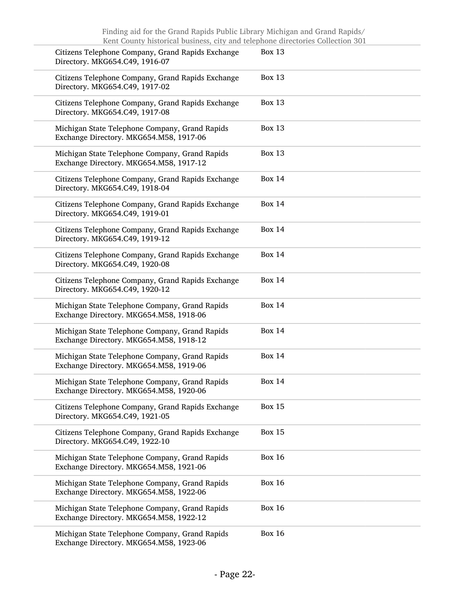| Citizens Telephone Company, Grand Rapids Exchange<br>Directory. MKG654.C49, 1916-07       | <b>Box 13</b> |
|-------------------------------------------------------------------------------------------|---------------|
| Citizens Telephone Company, Grand Rapids Exchange<br>Directory. MKG654.C49, 1917-02       | <b>Box 13</b> |
| Citizens Telephone Company, Grand Rapids Exchange<br>Directory. MKG654.C49, 1917-08       | <b>Box 13</b> |
| Michigan State Telephone Company, Grand Rapids<br>Exchange Directory. MKG654.M58, 1917-06 | <b>Box 13</b> |
| Michigan State Telephone Company, Grand Rapids<br>Exchange Directory. MKG654.M58, 1917-12 | <b>Box 13</b> |
| Citizens Telephone Company, Grand Rapids Exchange<br>Directory. MKG654.C49, 1918-04       | <b>Box 14</b> |
| Citizens Telephone Company, Grand Rapids Exchange<br>Directory. MKG654.C49, 1919-01       | <b>Box 14</b> |
| Citizens Telephone Company, Grand Rapids Exchange<br>Directory. MKG654.C49, 1919-12       | <b>Box 14</b> |
| Citizens Telephone Company, Grand Rapids Exchange<br>Directory. MKG654.C49, 1920-08       | <b>Box 14</b> |
| Citizens Telephone Company, Grand Rapids Exchange<br>Directory. MKG654.C49, 1920-12       | <b>Box 14</b> |
| Michigan State Telephone Company, Grand Rapids<br>Exchange Directory. MKG654.M58, 1918-06 | <b>Box 14</b> |
| Michigan State Telephone Company, Grand Rapids<br>Exchange Directory. MKG654.M58, 1918-12 | <b>Box 14</b> |
| Michigan State Telephone Company, Grand Rapids<br>Exchange Directory. MKG654.M58, 1919-06 | <b>Box 14</b> |
| Michigan State Telephone Company, Grand Rapids<br>Exchange Directory. MKG654.M58, 1920-06 | <b>Box 14</b> |
| Citizens Telephone Company, Grand Rapids Exchange<br>Directory. MKG654.C49, 1921-05       | <b>Box 15</b> |
| Citizens Telephone Company, Grand Rapids Exchange<br>Directory. MKG654.C49, 1922-10       | <b>Box 15</b> |
| Michigan State Telephone Company, Grand Rapids<br>Exchange Directory. MKG654.M58, 1921-06 | <b>Box 16</b> |
| Michigan State Telephone Company, Grand Rapids<br>Exchange Directory. MKG654.M58, 1922-06 | <b>Box 16</b> |
| Michigan State Telephone Company, Grand Rapids<br>Exchange Directory. MKG654.M58, 1922-12 | <b>Box 16</b> |
| Michigan State Telephone Company, Grand Rapids<br>Exchange Directory. MKG654.M58, 1923-06 | <b>Box 16</b> |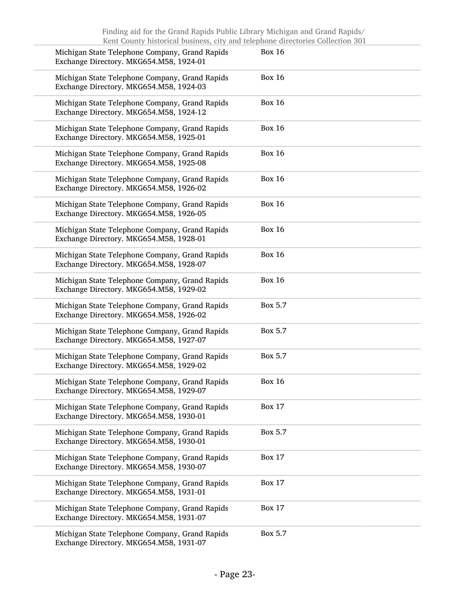| Michigan State Telephone Company, Grand Rapids<br>Exchange Directory. MKG654.M58, 1924-01 | <b>Box 16</b> |
|-------------------------------------------------------------------------------------------|---------------|
| Michigan State Telephone Company, Grand Rapids<br>Exchange Directory. MKG654.M58, 1924-03 | <b>Box 16</b> |
| Michigan State Telephone Company, Grand Rapids<br>Exchange Directory. MKG654.M58, 1924-12 | <b>Box 16</b> |
| Michigan State Telephone Company, Grand Rapids<br>Exchange Directory. MKG654.M58, 1925-01 | <b>Box 16</b> |
| Michigan State Telephone Company, Grand Rapids<br>Exchange Directory. MKG654.M58, 1925-08 | <b>Box 16</b> |
| Michigan State Telephone Company, Grand Rapids<br>Exchange Directory. MKG654.M58, 1926-02 | <b>Box 16</b> |
| Michigan State Telephone Company, Grand Rapids<br>Exchange Directory. MKG654.M58, 1926-05 | <b>Box 16</b> |
| Michigan State Telephone Company, Grand Rapids<br>Exchange Directory. MKG654.M58, 1928-01 | <b>Box 16</b> |
| Michigan State Telephone Company, Grand Rapids<br>Exchange Directory. MKG654.M58, 1928-07 | <b>Box 16</b> |
| Michigan State Telephone Company, Grand Rapids<br>Exchange Directory. MKG654.M58, 1929-02 | <b>Box 16</b> |
| Michigan State Telephone Company, Grand Rapids<br>Exchange Directory. MKG654.M58, 1926-02 | Box 5.7       |
| Michigan State Telephone Company, Grand Rapids<br>Exchange Directory. MKG654.M58, 1927-07 | Box 5.7       |
| Michigan State Telephone Company, Grand Rapids<br>Exchange Directory. MKG654.M58, 1929-02 | Box 5.7       |
| Michigan State Telephone Company, Grand Rapids<br>Exchange Directory. MKG654.M58, 1929-07 | <b>Box 16</b> |
| Michigan State Telephone Company, Grand Rapids<br>Exchange Directory. MKG654.M58, 1930-01 | <b>Box 17</b> |
| Michigan State Telephone Company, Grand Rapids<br>Exchange Directory. MKG654.M58, 1930-01 | Box 5.7       |
| Michigan State Telephone Company, Grand Rapids<br>Exchange Directory. MKG654.M58, 1930-07 | <b>Box 17</b> |
| Michigan State Telephone Company, Grand Rapids<br>Exchange Directory. MKG654.M58, 1931-01 | <b>Box 17</b> |
| Michigan State Telephone Company, Grand Rapids<br>Exchange Directory. MKG654.M58, 1931-07 | <b>Box 17</b> |
| Michigan State Telephone Company, Grand Rapids<br>Exchange Directory. MKG654.M58, 1931-07 | Box 5.7       |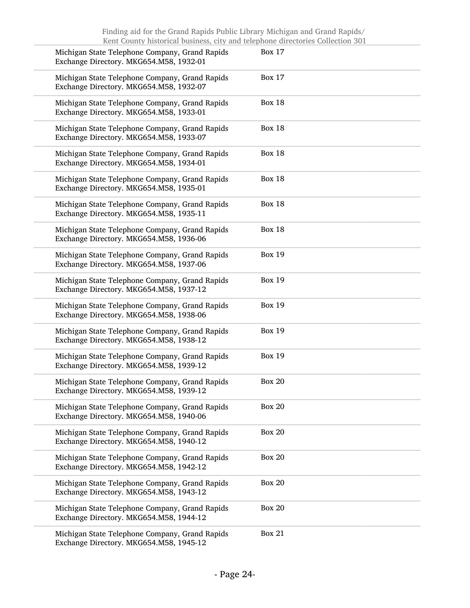| Michigan State Telephone Company, Grand Rapids<br>Exchange Directory. MKG654.M58, 1932-01 | <b>Box 17</b> |
|-------------------------------------------------------------------------------------------|---------------|
| Michigan State Telephone Company, Grand Rapids<br>Exchange Directory. MKG654.M58, 1932-07 | <b>Box 17</b> |
| Michigan State Telephone Company, Grand Rapids<br>Exchange Directory. MKG654.M58, 1933-01 | <b>Box 18</b> |
| Michigan State Telephone Company, Grand Rapids<br>Exchange Directory. MKG654.M58, 1933-07 | <b>Box 18</b> |
| Michigan State Telephone Company, Grand Rapids<br>Exchange Directory. MKG654.M58, 1934-01 | <b>Box 18</b> |
| Michigan State Telephone Company, Grand Rapids<br>Exchange Directory. MKG654.M58, 1935-01 | <b>Box 18</b> |
| Michigan State Telephone Company, Grand Rapids<br>Exchange Directory. MKG654.M58, 1935-11 | <b>Box 18</b> |
| Michigan State Telephone Company, Grand Rapids<br>Exchange Directory. MKG654.M58, 1936-06 | <b>Box 18</b> |
| Michigan State Telephone Company, Grand Rapids<br>Exchange Directory. MKG654.M58, 1937-06 | <b>Box 19</b> |
| Michigan State Telephone Company, Grand Rapids<br>Exchange Directory. MKG654.M58, 1937-12 | <b>Box 19</b> |
| Michigan State Telephone Company, Grand Rapids<br>Exchange Directory. MKG654.M58, 1938-06 | <b>Box 19</b> |
| Michigan State Telephone Company, Grand Rapids<br>Exchange Directory. MKG654.M58, 1938-12 | <b>Box 19</b> |
| Michigan State Telephone Company, Grand Rapids<br>Exchange Directory. MKG654.M58, 1939-12 | <b>Box 19</b> |
| Michigan State Telephone Company, Grand Rapids<br>Exchange Directory. MKG654.M58, 1939-12 | <b>Box 20</b> |
| Michigan State Telephone Company, Grand Rapids<br>Exchange Directory. MKG654.M58, 1940-06 | <b>Box 20</b> |
| Michigan State Telephone Company, Grand Rapids<br>Exchange Directory. MKG654.M58, 1940-12 | <b>Box 20</b> |
| Michigan State Telephone Company, Grand Rapids<br>Exchange Directory. MKG654.M58, 1942-12 | <b>Box 20</b> |
| Michigan State Telephone Company, Grand Rapids<br>Exchange Directory. MKG654.M58, 1943-12 | <b>Box 20</b> |
| Michigan State Telephone Company, Grand Rapids<br>Exchange Directory. MKG654.M58, 1944-12 | <b>Box 20</b> |
| Michigan State Telephone Company, Grand Rapids<br>Exchange Directory. MKG654.M58, 1945-12 | <b>Box 21</b> |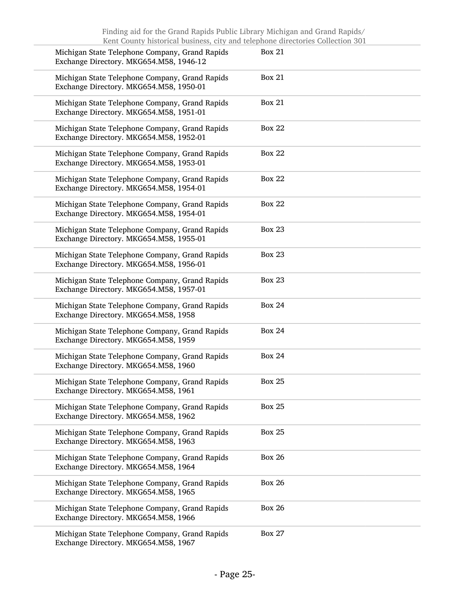| Michigan State Telephone Company, Grand Rapids<br>Exchange Directory. MKG654.M58, 1946-12 | <b>Box 21</b> |
|-------------------------------------------------------------------------------------------|---------------|
| Michigan State Telephone Company, Grand Rapids<br>Exchange Directory. MKG654.M58, 1950-01 | <b>Box 21</b> |
| Michigan State Telephone Company, Grand Rapids<br>Exchange Directory. MKG654.M58, 1951-01 | <b>Box 21</b> |
| Michigan State Telephone Company, Grand Rapids<br>Exchange Directory. MKG654.M58, 1952-01 | <b>Box 22</b> |
| Michigan State Telephone Company, Grand Rapids<br>Exchange Directory. MKG654.M58, 1953-01 | <b>Box 22</b> |
| Michigan State Telephone Company, Grand Rapids<br>Exchange Directory. MKG654.M58, 1954-01 | <b>Box 22</b> |
| Michigan State Telephone Company, Grand Rapids<br>Exchange Directory. MKG654.M58, 1954-01 | <b>Box 22</b> |
| Michigan State Telephone Company, Grand Rapids<br>Exchange Directory. MKG654.M58, 1955-01 | <b>Box 23</b> |
| Michigan State Telephone Company, Grand Rapids<br>Exchange Directory. MKG654.M58, 1956-01 | <b>Box 23</b> |
| Michigan State Telephone Company, Grand Rapids<br>Exchange Directory. MKG654.M58, 1957-01 | <b>Box 23</b> |
| Michigan State Telephone Company, Grand Rapids<br>Exchange Directory. MKG654.M58, 1958    | <b>Box 24</b> |
| Michigan State Telephone Company, Grand Rapids<br>Exchange Directory. MKG654.M58, 1959    | <b>Box 24</b> |
| Michigan State Telephone Company, Grand Rapids<br>Exchange Directory. MKG654.M58, 1960    | <b>Box 24</b> |
| Michigan State Telephone Company, Grand Rapids<br>Exchange Directory. MKG654.M58, 1961    | <b>Box 25</b> |
| Michigan State Telephone Company, Grand Rapids<br>Exchange Directory. MKG654.M58, 1962    | <b>Box 25</b> |
| Michigan State Telephone Company, Grand Rapids<br>Exchange Directory. MKG654.M58, 1963    | <b>Box 25</b> |
| Michigan State Telephone Company, Grand Rapids<br>Exchange Directory. MKG654.M58, 1964    | <b>Box 26</b> |
| Michigan State Telephone Company, Grand Rapids<br>Exchange Directory. MKG654.M58, 1965    | <b>Box 26</b> |
| Michigan State Telephone Company, Grand Rapids<br>Exchange Directory. MKG654.M58, 1966    | <b>Box 26</b> |
| Michigan State Telephone Company, Grand Rapids<br>Exchange Directory. MKG654.M58, 1967    | <b>Box 27</b> |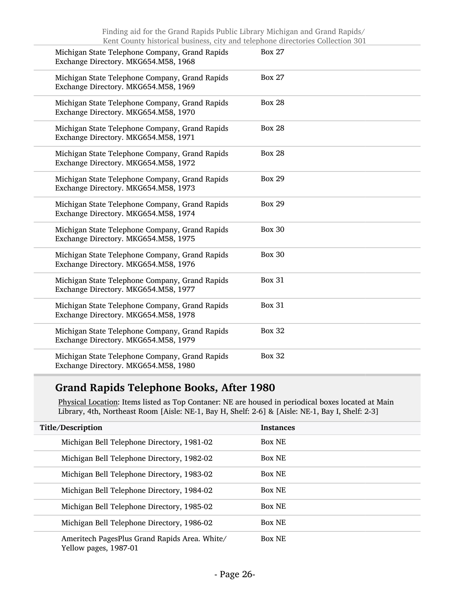| Michigan State Telephone Company, Grand Rapids<br>Exchange Directory. MKG654.M58, 1968 | <b>Box 27</b> |
|----------------------------------------------------------------------------------------|---------------|
| Michigan State Telephone Company, Grand Rapids<br>Exchange Directory. MKG654.M58, 1969 | <b>Box 27</b> |
| Michigan State Telephone Company, Grand Rapids<br>Exchange Directory. MKG654.M58, 1970 | <b>Box 28</b> |
| Michigan State Telephone Company, Grand Rapids<br>Exchange Directory. MKG654.M58, 1971 | <b>Box 28</b> |
| Michigan State Telephone Company, Grand Rapids<br>Exchange Directory. MKG654.M58, 1972 | <b>Box 28</b> |
| Michigan State Telephone Company, Grand Rapids<br>Exchange Directory. MKG654.M58, 1973 | <b>Box 29</b> |
| Michigan State Telephone Company, Grand Rapids<br>Exchange Directory. MKG654.M58, 1974 | <b>Box 29</b> |
| Michigan State Telephone Company, Grand Rapids<br>Exchange Directory. MKG654.M58, 1975 | <b>Box 30</b> |
| Michigan State Telephone Company, Grand Rapids<br>Exchange Directory. MKG654.M58, 1976 | <b>Box 30</b> |
| Michigan State Telephone Company, Grand Rapids<br>Exchange Directory. MKG654.M58, 1977 | <b>Box 31</b> |
| Michigan State Telephone Company, Grand Rapids<br>Exchange Directory. MKG654.M58, 1978 | <b>Box 31</b> |
| Michigan State Telephone Company, Grand Rapids<br>Exchange Directory. MKG654.M58, 1979 | <b>Box 32</b> |
| Michigan State Telephone Company, Grand Rapids<br>Exchange Directory. MKG654.M58, 1980 | <b>Box 32</b> |

## Grand Rapids Telephone Books, After 1980

Physical Location: Items listed as Top Contaner: NE are housed in periodical boxes located at Main Library, 4th, Northeast Room [Aisle: NE-1, Bay H, Shelf: 2-6] & [Aisle: NE-1, Bay I, Shelf: 2-3]

| Title/Description                                                      | <b>Instances</b> |
|------------------------------------------------------------------------|------------------|
| Michigan Bell Telephone Directory, 1981-02                             | <b>Box NE</b>    |
| Michigan Bell Telephone Directory, 1982-02                             | <b>Box NE</b>    |
| Michigan Bell Telephone Directory, 1983-02                             | <b>Box NE</b>    |
| Michigan Bell Telephone Directory, 1984-02                             | <b>Box NE</b>    |
| Michigan Bell Telephone Directory, 1985-02                             | <b>Box NE</b>    |
| Michigan Bell Telephone Directory, 1986-02                             | <b>Box NE</b>    |
| Ameritech PagesPlus Grand Rapids Area. White/<br>Yellow pages, 1987-01 | <b>Box NE</b>    |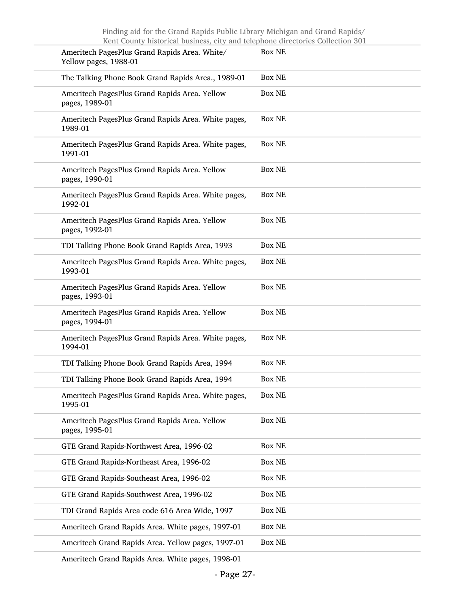Ameritech Grand Rapids Area. White pages, 1998-01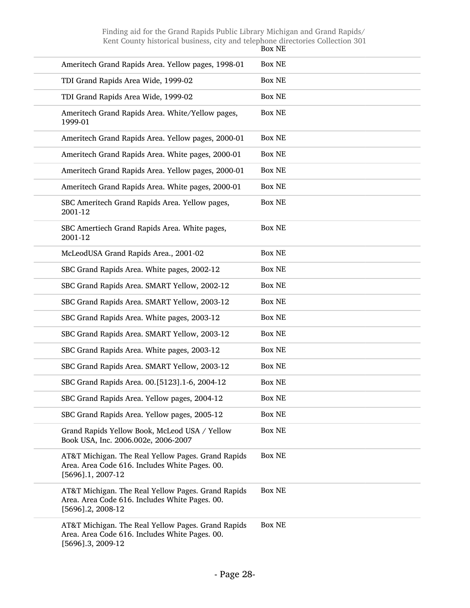|                                                                                                                              | Box NE        |
|------------------------------------------------------------------------------------------------------------------------------|---------------|
| Ameritech Grand Rapids Area. Yellow pages, 1998-01                                                                           | <b>Box NE</b> |
| TDI Grand Rapids Area Wide, 1999-02                                                                                          | <b>Box NE</b> |
| TDI Grand Rapids Area Wide, 1999-02                                                                                          | <b>Box NE</b> |
| Ameritech Grand Rapids Area. White/Yellow pages,<br>1999-01                                                                  | <b>Box NE</b> |
| Ameritech Grand Rapids Area. Yellow pages, 2000-01                                                                           | <b>Box NE</b> |
| Ameritech Grand Rapids Area. White pages, 2000-01                                                                            | <b>Box NE</b> |
| Ameritech Grand Rapids Area. Yellow pages, 2000-01                                                                           | <b>Box NE</b> |
| Ameritech Grand Rapids Area. White pages, 2000-01                                                                            | <b>Box NE</b> |
| SBC Ameritech Grand Rapids Area. Yellow pages,<br>2001-12                                                                    | <b>Box NE</b> |
| SBC Amertiech Grand Rapids Area. White pages,<br>2001-12                                                                     | <b>Box NE</b> |
| McLeodUSA Grand Rapids Area., 2001-02                                                                                        | <b>Box NE</b> |
| SBC Grand Rapids Area. White pages, 2002-12                                                                                  | <b>Box NE</b> |
| SBC Grand Rapids Area. SMART Yellow, 2002-12                                                                                 | <b>Box NE</b> |
| SBC Grand Rapids Area. SMART Yellow, 2003-12                                                                                 | <b>Box NE</b> |
| SBC Grand Rapids Area. White pages, 2003-12                                                                                  | <b>Box NE</b> |
| SBC Grand Rapids Area. SMART Yellow, 2003-12                                                                                 | <b>Box NE</b> |
| SBC Grand Rapids Area. White pages, 2003-12                                                                                  | <b>Box NE</b> |
| SBC Grand Rapids Area. SMART Yellow, 2003-12                                                                                 | <b>Box NE</b> |
| SBC Grand Rapids Area. 00.[5123].1-6, 2004-12                                                                                | <b>Box NE</b> |
| SBC Grand Rapids Area. Yellow pages, 2004-12                                                                                 | <b>Box NE</b> |
| SBC Grand Rapids Area. Yellow pages, 2005-12                                                                                 | <b>Box NE</b> |
| Grand Rapids Yellow Book, McLeod USA / Yellow<br>Book USA, Inc. 2006.002e, 2006-2007                                         | <b>Box NE</b> |
| AT&T Michigan. The Real Yellow Pages. Grand Rapids<br>Area. Area Code 616. Includes White Pages. 00.<br>$[5696]$ .1, 2007-12 | <b>Box NE</b> |
| AT&T Michigan. The Real Yellow Pages. Grand Rapids<br>Area. Area Code 616. Includes White Pages. 00.<br>[5696].2, 2008-12    | <b>Box NE</b> |
| AT&T Michigan. The Real Yellow Pages. Grand Rapids<br>Area. Area Code 616. Includes White Pages. 00.<br>[5696].3, 2009-12    | <b>Box NE</b> |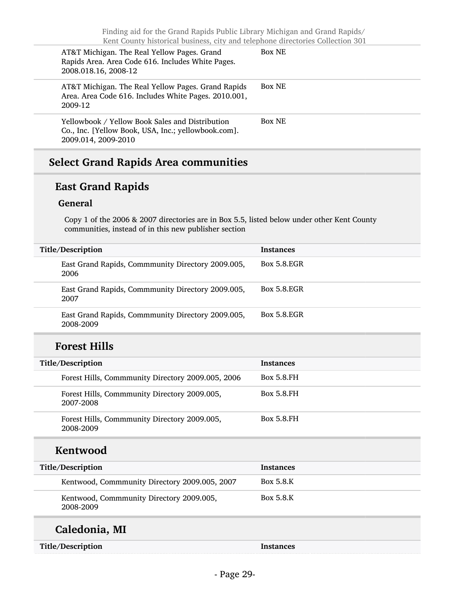| AT&T Michigan. The Real Yellow Pages. Grand<br>Rapids Area. Area Code 616. Includes White Pages.<br>2008.018.16, 2008-12      | <b>Box NE</b> |
|-------------------------------------------------------------------------------------------------------------------------------|---------------|
| AT&T Michigan. The Real Yellow Pages. Grand Rapids<br>Area. Area Code 616. Includes White Pages. 2010.001,<br>2009-12         | <b>Box NE</b> |
| Yellowbook / Yellow Book Sales and Distribution<br>Co., Inc. [Yellow Book, USA, Inc.; yellowbook.com].<br>2009.014, 2009-2010 | <b>Box NE</b> |

## Select Grand Rapids Area communities

## East Grand Rapids

#### General

Copy 1 of the 2006 & 2007 directories are in Box 5.5, listed below under other Kent County communities, instead of in this new publisher section

| Title/Description                                              | <b>Instances</b>   |
|----------------------------------------------------------------|--------------------|
| East Grand Rapids, Commmunity Directory 2009.005,<br>2006      | <b>Box 5.8.EGR</b> |
| East Grand Rapids, Commmunity Directory 2009.005,<br>2007      | <b>Box 5.8.EGR</b> |
| East Grand Rapids, Commmunity Directory 2009.005,<br>2008-2009 | <b>Box 5.8.EGR</b> |
| <b>Forest Hills</b>                                            |                    |
| Title/Description                                              | <b>Instances</b>   |
| Forest Hills, Commmunity Directory 2009.005, 2006              | <b>Box 5.8.FH</b>  |
| Forest Hills, Commmunity Directory 2009.005,<br>2007-2008      | <b>Box 5.8.FH</b>  |
| Forest Hills, Commmunity Directory 2009.005,<br>2008-2009      | <b>Box 5.8.FH</b>  |
| Kentwood                                                       |                    |
| Title/Description                                              | <b>Instances</b>   |
| Kentwood, Commmunity Directory 2009.005, 2007                  | Box 5.8.K          |
| Kentwood, Commmunity Directory 2009.005,<br>2008-2009          | Box 5.8.K          |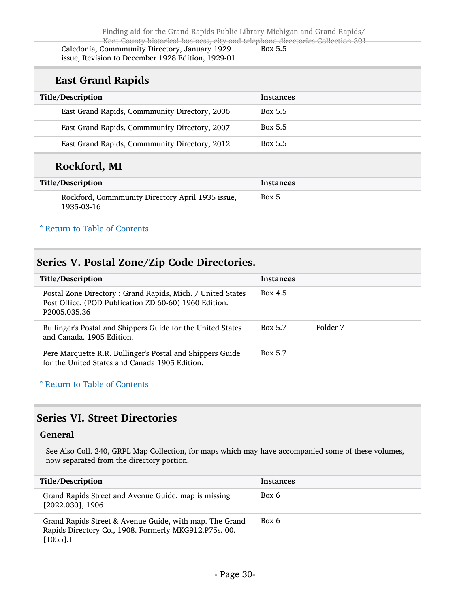## East Grand Rapids

| Title/Description                             | <b>Instances</b> |
|-----------------------------------------------|------------------|
| East Grand Rapids, Commmunity Directory, 2006 | Box 5.5          |
| East Grand Rapids, Commmunity Directory, 2007 | Box 5.5          |
| East Grand Rapids, Commmunity Directory, 2012 | Box 5.5          |
|                                               |                  |

## Rockford, MI

| Title/Description                                              | Instances |
|----------------------------------------------------------------|-----------|
| Rockford, Commmunity Directory April 1935 issue,<br>1935-03-16 | Box 5     |

#### ^ [Return to Table of Contents](#page-1-0)

## <span id="page-29-0"></span>Series V. Postal Zone/Zip Code Directories.

| Title/Description                                                                                                                               | <b>Instances</b> |          |
|-------------------------------------------------------------------------------------------------------------------------------------------------|------------------|----------|
| Postal Zone Directory: Grand Rapids, Mich. / United States<br>Post Office. (POD Publication ZD 60-60) 1960 Edition.<br>P <sub>2005.035.36</sub> | Box 4.5          |          |
| Bullinger's Postal and Shippers Guide for the United States<br>and Canada, 1905 Edition.                                                        | Box 5.7          | Folder 7 |
| Pere Marquette R.R. Bullinger's Postal and Shippers Guide<br>for the United States and Canada 1905 Edition.                                     | <b>Box 5.7</b>   |          |

#### ^ [Return to Table of Contents](#page-1-0)

## <span id="page-29-1"></span>Series VI. Street Directories

#### General

See Also Coll. 240, GRPL Map Collection, for maps which may have accompanied some of these volumes, now separated from the directory portion.

| Title/Description                                                                                                               | Instances |
|---------------------------------------------------------------------------------------------------------------------------------|-----------|
| Grand Rapids Street and Avenue Guide, map is missing<br>$[2022.030]$ , 1906                                                     | Box 6     |
| Grand Rapids Street & Avenue Guide, with map. The Grand<br>Rapids Directory Co., 1908. Formerly MKG912.P75s. 00.<br>$[1055]$ .1 | Box 6     |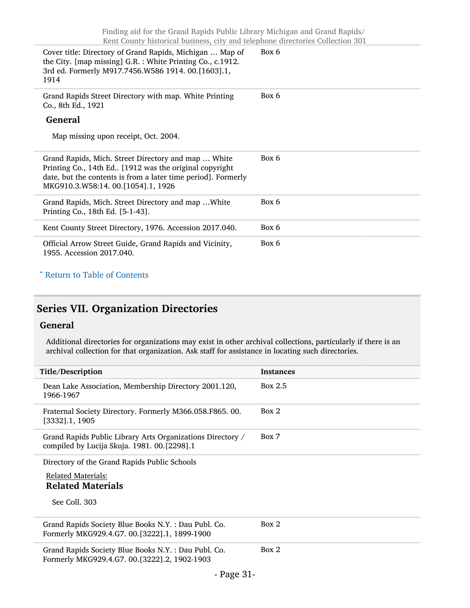| Cover title: Directory of Grand Rapids, Michigan  Map of<br>the City. [map missing] G.R. : White Printing Co., c.1912.<br>3rd ed. Formerly M917.7456.W586 1914. 00.[1603].1,<br>1914                                 | Box 6 |
|----------------------------------------------------------------------------------------------------------------------------------------------------------------------------------------------------------------------|-------|
| Grand Rapids Street Directory with map. White Printing<br>Co., 8th Ed., 1921                                                                                                                                         | Box 6 |
| <b>General</b>                                                                                                                                                                                                       |       |
| Map missing upon receipt, Oct. 2004.                                                                                                                                                                                 |       |
| Grand Rapids, Mich. Street Directory and map  White<br>Printing Co., 14th Ed [1912 was the original copyright<br>date, but the contents is from a later time period]. Formerly<br>MKG910.3.W58:14. 00.[1054].1, 1926 | Box 6 |
| Grand Rapids, Mich. Street Directory and map  White<br>Printing Co., 18th Ed. [5-1-43].                                                                                                                              | Box 6 |
| Kent County Street Directory, 1976. Accession 2017.040.                                                                                                                                                              | Box 6 |
| Official Arrow Street Guide, Grand Rapids and Vicinity,<br>1955. Accession 2017.040.                                                                                                                                 | Box 6 |

#### ^ [Return to Table of Contents](#page-1-0)

## <span id="page-30-0"></span>Series VII. Organization Directories

#### General

Additional directories for organizations may exist in other archival collections, particularly if there is an archival collection for that organization. Ask staff for assistance in locating such directories.

| Title/Description                                                                                         | <b>Instances</b> |
|-----------------------------------------------------------------------------------------------------------|------------------|
| Dean Lake Association, Membership Directory 2001.120,<br>1966-1967                                        | Box 2.5          |
| Fraternal Society Directory. Formerly M366.058.F865.00.<br>$[3332]$ .1, 1905                              | Box 2            |
| Grand Rapids Public Library Arts Organizations Directory /<br>compiled by Lucija Skuja. 1981. 00.[2298].1 | Box 7            |
| Directory of the Grand Rapids Public Schools                                                              |                  |
| <b>Related Materials:</b><br><b>Related Materials</b>                                                     |                  |
| See Coll. 303                                                                                             |                  |
| Grand Rapids Society Blue Books N.Y. : Dau Publ. Co.<br>Formerly MKG929.4.G7. 00.[3222].1, 1899-1900      | Box 2            |
| Grand Rapids Society Blue Books N.Y.: Dau Publ. Co.<br>Formerly MKG929.4.G7. 00.[3222].2, 1902-1903       | Box 2            |
| $\mathbf{r}$ $\mathbf{r}$                                                                                 |                  |